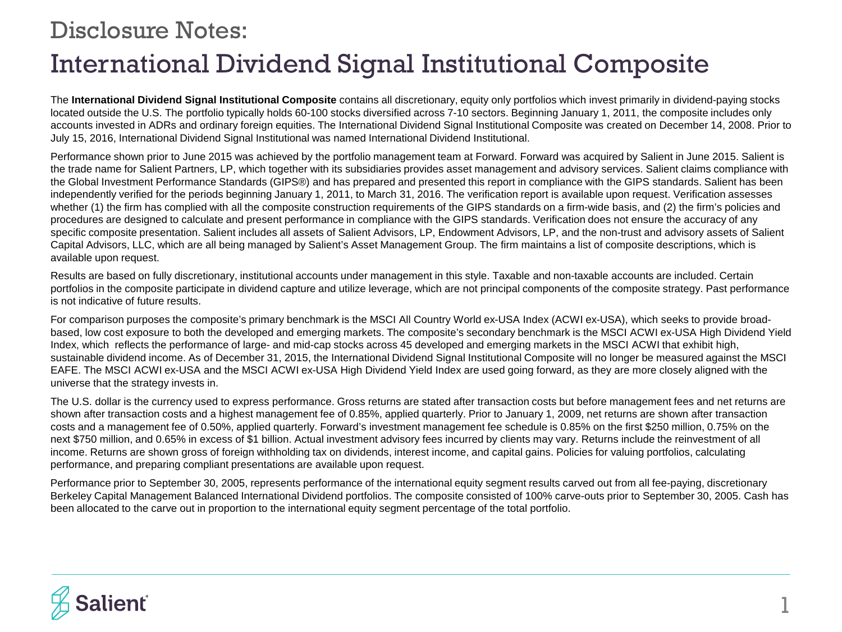## International Dividend Signal Institutional Composite Disclosure Notes:

The **International Dividend Signal Institutional Composite** contains all discretionary, equity only portfolios which invest primarily in dividend-paying stocks located outside the U.S. The portfolio typically holds 60-100 stocks diversified across 7-10 sectors. Beginning January 1, 2011, the composite includes only accounts invested in ADRs and ordinary foreign equities. The International Dividend Signal Institutional Composite was created on December 14, 2008. Prior to July 15, 2016, International Dividend Signal Institutional was named International Dividend Institutional.

Performance shown prior to June 2015 was achieved by the portfolio management team at Forward. Forward was acquired by Salient in June 2015. Salient is the trade name for Salient Partners, LP, which together with its subsidiaries provides asset management and advisory services. Salient claims compliance with the Global Investment Performance Standards (GIPS®) and has prepared and presented this report in compliance with the GIPS standards. Salient has been independently verified for the periods beginning January 1, 2011, to March 31, 2016. The verification report is available upon request. Verification assesses whether (1) the firm has complied with all the composite construction requirements of the GIPS standards on a firm-wide basis, and (2) the firm's policies and procedures are designed to calculate and present performance in compliance with the GIPS standards. Verification does not ensure the accuracy of any specific composite presentation. Salient includes all assets of Salient Advisors, LP, Endowment Advisors, LP, and the non-trust and advisory assets of Salient Capital Advisors, LLC, which are all being managed by Salient's Asset Management Group. The firm maintains a list of composite descriptions, which is available upon request.

Results are based on fully discretionary, institutional accounts under management in this style. Taxable and non-taxable accounts are included. Certain portfolios in the composite participate in dividend capture and utilize leverage, which are not principal components of the composite strategy. Past performance is not indicative of future results.

For comparison purposes the composite's primary benchmark is the MSCI All Country World ex-USA Index (ACWI ex-USA), which seeks to provide broadbased, low cost exposure to both the developed and emerging markets. The composite's secondary benchmark is the MSCI ACWI ex-USA High Dividend Yield Index, which reflects the performance of large- and mid-cap stocks across 45 developed and emerging markets in the MSCI ACWI that exhibit high, sustainable dividend income. As of December 31, 2015, the International Dividend Signal Institutional Composite will no longer be measured against the MSCI EAFE. The MSCI ACWI ex-USA and the MSCI ACWI ex-USA High Dividend Yield Index are used going forward, as they are more closely aligned with the universe that the strategy invests in.

The U.S. dollar is the currency used to express performance. Gross returns are stated after transaction costs but before management fees and net returns are shown after transaction costs and a highest management fee of 0.85%, applied quarterly. Prior to January 1, 2009, net returns are shown after transaction costs and a management fee of 0.50%, applied quarterly. Forward's investment management fee schedule is 0.85% on the first \$250 million, 0.75% on the next \$750 million, and 0.65% in excess of \$1 billion. Actual investment advisory fees incurred by clients may vary. Returns include the reinvestment of all income. Returns are shown gross of foreign withholding tax on dividends, interest income, and capital gains. Policies for valuing portfolios, calculating performance, and preparing compliant presentations are available upon request.

Performance prior to September 30, 2005, represents performance of the international equity segment results carved out from all fee-paying, discretionary Berkeley Capital Management Balanced International Dividend portfolios. The composite consisted of 100% carve-outs prior to September 30, 2005. Cash has been allocated to the carve out in proportion to the international equity segment percentage of the total portfolio.